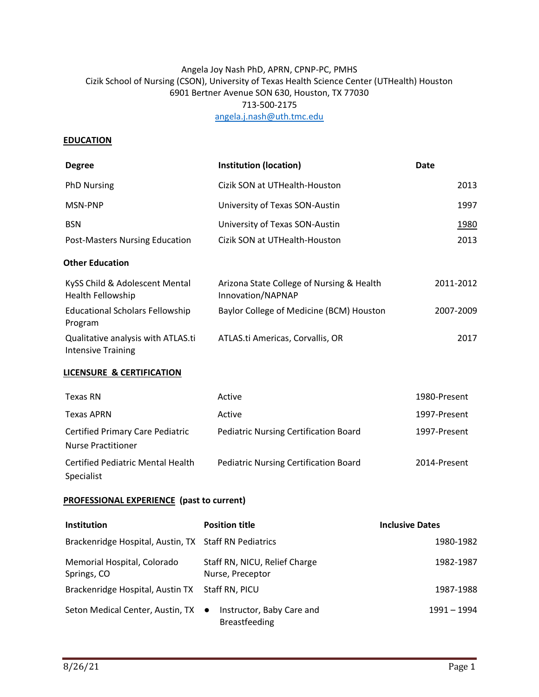## Angela Joy Nash PhD, APRN, CPNP-PC, PMHS Cizik School of Nursing (CSON), University of Texas Health Science Center (UTHealth) Houston 6901 Bertner Avenue SON 630, Houston, TX 77030 713-500-2175 [angela.j.nash@uth.tmc.edu](mailto:angela.j.nash@uth.tmc.edu)

#### **EDUCATION**

| <b>Degree</b>                                                        | <b>Institution (location)</b>                                  | <b>Date</b>            |
|----------------------------------------------------------------------|----------------------------------------------------------------|------------------------|
| <b>PhD Nursing</b>                                                   | Cizik SON at UTHealth-Houston                                  | 2013                   |
| MSN-PNP                                                              | University of Texas SON-Austin                                 | 1997                   |
| <b>BSN</b>                                                           | University of Texas SON-Austin                                 | 1980                   |
| <b>Post-Masters Nursing Education</b>                                | Cizik SON at UTHealth-Houston                                  | 2013                   |
| <b>Other Education</b>                                               |                                                                |                        |
| KySS Child & Adolescent Mental<br>Health Fellowship                  | Arizona State College of Nursing & Health<br>Innovation/NAPNAP | 2011-2012              |
| <b>Educational Scholars Fellowship</b><br>Program                    | Baylor College of Medicine (BCM) Houston                       | 2007-2009              |
| Qualitative analysis with ATLAS.ti<br><b>Intensive Training</b>      | ATLAS.ti Americas, Corvallis, OR                               | 2017                   |
| <b>LICENSURE &amp; CERTIFICATION</b>                                 |                                                                |                        |
| <b>Texas RN</b>                                                      | Active                                                         | 1980-Present           |
| <b>Texas APRN</b>                                                    | Active                                                         | 1997-Present           |
| <b>Certified Primary Care Pediatric</b><br><b>Nurse Practitioner</b> | <b>Pediatric Nursing Certification Board</b>                   | 1997-Present           |
| <b>Certified Pediatric Mental Health</b><br>Specialist               | <b>Pediatric Nursing Certification Board</b>                   | 2014-Present           |
| <b>PROFESSIONAL EXPERIENCE (past to current)</b>                     |                                                                |                        |
| Institution                                                          | <b>Position title</b>                                          | <b>Inclusive Dates</b> |
| Brackenridge Hospital, Austin, TX Staff RN Pediatrics                |                                                                | 1980-1982              |

| Memorial Hospital, Colorado<br>Springs, CO      | Staff RN, NICU, Relief Charge<br>Nurse, Preceptor | 1982-1987     |
|-------------------------------------------------|---------------------------------------------------|---------------|
| Brackenridge Hospital, Austin TX Staff RN, PICU |                                                   | 1987-1988     |
| Seton Medical Center, Austin, TX ●              | Instructor, Baby Care and<br><b>Breastfeeding</b> | $1991 - 1994$ |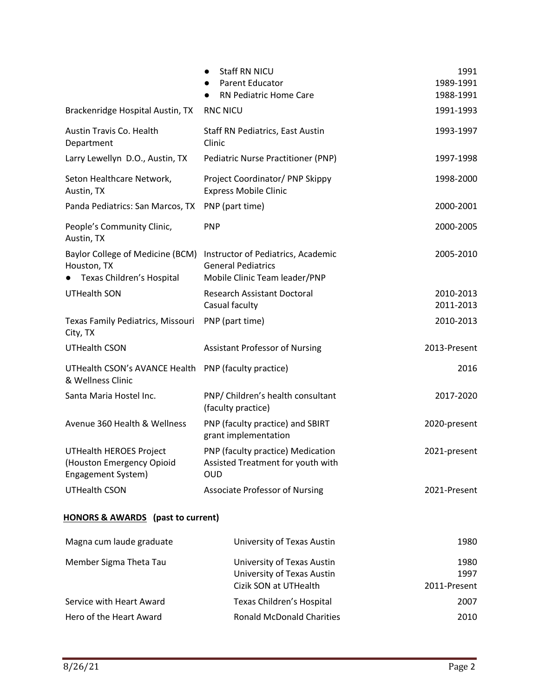|                                                                                   | <b>Staff RN NICU</b><br>Parent Educator<br>RN Pediatric Home Care                                | 1991<br>1989-1991<br>1988-1991 |
|-----------------------------------------------------------------------------------|--------------------------------------------------------------------------------------------------|--------------------------------|
| Brackenridge Hospital Austin, TX                                                  | <b>RNC NICU</b>                                                                                  | 1991-1993                      |
|                                                                                   |                                                                                                  |                                |
| Austin Travis Co. Health<br>Department                                            | Staff RN Pediatrics, East Austin<br>Clinic                                                       | 1993-1997                      |
| Larry Lewellyn D.O., Austin, TX                                                   | Pediatric Nurse Practitioner (PNP)                                                               | 1997-1998                      |
| Seton Healthcare Network,<br>Austin, TX                                           | Project Coordinator/ PNP Skippy<br><b>Express Mobile Clinic</b>                                  | 1998-2000                      |
| Panda Pediatrics: San Marcos, TX                                                  | PNP (part time)                                                                                  | 2000-2001                      |
| People's Community Clinic,<br>Austin, TX                                          | <b>PNP</b>                                                                                       | 2000-2005                      |
| Baylor College of Medicine (BCM)<br>Houston, TX<br>Texas Children's Hospital      | Instructor of Pediatrics, Academic<br><b>General Pediatrics</b><br>Mobile Clinic Team leader/PNP | 2005-2010                      |
| <b>UTHealth SON</b>                                                               | <b>Research Assistant Doctoral</b><br>Casual faculty                                             | 2010-2013<br>2011-2013         |
| Texas Family Pediatrics, Missouri<br>City, TX                                     | PNP (part time)                                                                                  | 2010-2013                      |
| <b>UTHealth CSON</b>                                                              | <b>Assistant Professor of Nursing</b>                                                            | 2013-Present                   |
| UTHealth CSON's AVANCE Health PNP (faculty practice)<br>& Wellness Clinic         |                                                                                                  | 2016                           |
| Santa Maria Hostel Inc.                                                           | PNP/ Children's health consultant<br>(faculty practice)                                          | 2017-2020                      |
| Avenue 360 Health & Wellness                                                      | PNP (faculty practice) and SBIRT<br>grant implementation                                         | 2020-present                   |
| <b>UTHealth HEROES Project</b><br>(Houston Emergency Opioid<br>Engagement System) | PNP (faculty practice) Medication<br>Assisted Treatment for youth with<br><b>OUD</b>             | 2021-present                   |
| <b>UTHealth CSON</b>                                                              | <b>Associate Professor of Nursing</b>                                                            | 2021-Present                   |

# **HONORS & AWARDS (past to current)**

| Magna cum laude graduate | University of Texas Austin                                                        | 1980                         |
|--------------------------|-----------------------------------------------------------------------------------|------------------------------|
| Member Sigma Theta Tau   | University of Texas Austin<br>University of Texas Austin<br>Cizik SON at UTHealth | 1980<br>1997<br>2011-Present |
| Service with Heart Award | Texas Children's Hospital                                                         | 2007                         |
| Hero of the Heart Award  | <b>Ronald McDonald Charities</b>                                                  | 2010                         |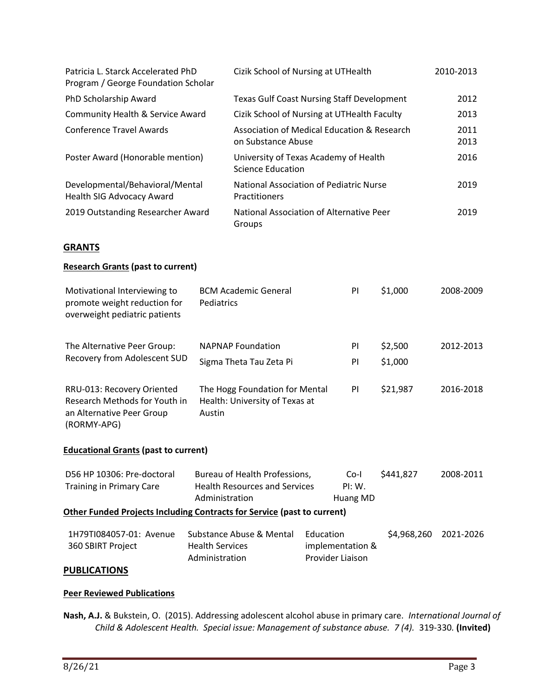| Patricia L. Starck Accelerated PhD<br>Program / George Foundation Scholar | Cizik School of Nursing at UTHealth                               | 2010-2013    |
|---------------------------------------------------------------------------|-------------------------------------------------------------------|--------------|
| PhD Scholarship Award                                                     | <b>Texas Gulf Coast Nursing Staff Development</b>                 | 2012         |
| Community Health & Service Award                                          | Cizik School of Nursing at UTHealth Faculty                       | 2013         |
| Conference Travel Awards                                                  | Association of Medical Education & Research<br>on Substance Abuse | 2011<br>2013 |
| Poster Award (Honorable mention)                                          | University of Texas Academy of Health<br>Science Education        | 2016         |
| Developmental/Behavioral/Mental<br>Health SIG Advocacy Award              | National Association of Pediatric Nurse<br><b>Practitioners</b>   | 2019         |
| 2019 Outstanding Researcher Award                                         | National Association of Alternative Peer<br>Groups                | 2019         |

## **GRANTS**

#### **Research Grants (past to current)**

| Motivational Interviewing to<br>promote weight reduction for<br>overweight pediatric patients           | <b>BCM Academic General</b><br>Pediatrics                                  | PI       | \$1,000            | 2008-2009 |
|---------------------------------------------------------------------------------------------------------|----------------------------------------------------------------------------|----------|--------------------|-----------|
| The Alternative Peer Group:<br>Recovery from Adolescent SUD                                             | <b>NAPNAP Foundation</b><br>Sigma Theta Tau Zeta Pi                        | PI<br>PI | \$2,500<br>\$1,000 | 2012-2013 |
| RRU-013: Recovery Oriented<br>Research Methods for Youth in<br>an Alternative Peer Group<br>(RORMY-APG) | The Hogg Foundation for Mental<br>Health: University of Texas at<br>Austin | PI.      | \$21,987           | 2016-2018 |

## **Educational Grants (past to current)**

| D56 HP 10306: Pre-doctoral<br><b>Training in Primary Care</b>                  | Bureau of Health Professions,<br><b>Health Resources and Services</b><br>Administration | Co-l<br>PI: W.<br>Huang MD                        | \$441,827   | 2008-2011 |
|--------------------------------------------------------------------------------|-----------------------------------------------------------------------------------------|---------------------------------------------------|-------------|-----------|
| <b>Other Funded Projects Including Contracts for Service (past to current)</b> |                                                                                         |                                                   |             |           |
| 1H79TI084057-01: Avenue<br>360 SBIRT Project                                   | Substance Abuse & Mental<br><b>Health Services</b><br>Administration                    | Education<br>implementation &<br>Provider Liaison | \$4,968,260 | 2021-2026 |

#### **PUBLICATIONS**

## **Peer Reviewed Publications**

**Nash, A.J.** & Bukstein, O. (2015). Addressing adolescent alcohol abuse in primary care. *International Journal of Child & Adolescent Health. Special issue: Management of substance abuse. 7 (4).* 319-330*.* **(Invited)**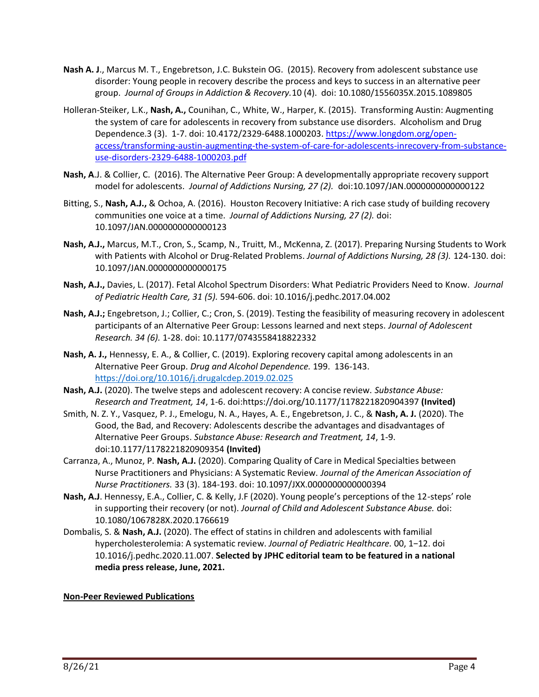- **Nash A. J**., Marcus M. T., Engebretson, J.C. Bukstein OG. (2015). Recovery from adolescent substance use disorder: Young people in recovery describe the process and keys to success in an alternative peer group. *Journal of Groups in Addiction & Recovery.*10 (4). doi: 10.1080/1556035X.2015.1089805
- Holleran-Steiker, L.K., **Nash, A.,** Counihan, C., White, W., Harper, K. (2015). Transforming Austin: Augmenting the system of care for adolescents in recovery from substance use disorders. Alcoholism and Drug Dependence.3 (3). 1-7. doi: 10.4172/2329-6488.1000203. [https://www.longdom.org/open](https://www.longdom.org/open-access/transforming-austin-augmenting-the-system-of-care-for-adolescents-inrecovery-from-substance-use-disorders-2329-6488-1000203.pdf)[access/transforming-austin-augmenting-the-system-of-care-for-adolescents-inrecovery-from-substance](https://www.longdom.org/open-access/transforming-austin-augmenting-the-system-of-care-for-adolescents-inrecovery-from-substance-use-disorders-2329-6488-1000203.pdf)[use-disorders-2329-6488-1000203.pdf](https://www.longdom.org/open-access/transforming-austin-augmenting-the-system-of-care-for-adolescents-inrecovery-from-substance-use-disorders-2329-6488-1000203.pdf)
- **Nash, A**.J. & Collier, C. (2016). The Alternative Peer Group: A developmentally appropriate recovery support model for adolescents. *Journal of Addictions Nursing, 27 (2).* doi:10.1097/JAN.0000000000000122
- Bitting, S., **Nash, A.J.,** & Ochoa, A. (2016). Houston Recovery Initiative: A rich case study of building recovery communities one voice at a time. *Journal of Addictions Nursing, 27 (2).* doi: 10.1097/JAN.0000000000000123
- **Nash, A.J.,** Marcus, M.T., Cron, S., Scamp, N., Truitt, M., McKenna, Z. (2017). Preparing Nursing Students to Work with Patients with Alcohol or Drug-Related Problems. *Journal of Addictions Nursing, 28 (3).* 124-130. doi: 10.1097/JAN.0000000000000175
- **Nash, A.J.,** Davies, L. (2017). Fetal Alcohol Spectrum Disorders: What Pediatric Providers Need to Know. *Journal of Pediatric Health Care, 31 (5).* 594-606. doi: 10.1016/j.pedhc.2017.04.002
- **Nash, A.J.;** Engebretson, J.; Collier, C.; Cron, S. (2019). Testing the feasibility of measuring recovery in adolescent participants of an Alternative Peer Group: Lessons learned and next steps. *Journal of Adolescent Research. 34 (6).* 1-28. doi: 10.1177/0743558418822332
- **Nash, A. J.,** Hennessy, E. A., & Collier, C. (2019). Exploring recovery capital among adolescents in an Alternative Peer Group. *Drug and Alcohol Dependence.* 199. 136-143. <https://doi.org/10.1016/j.drugalcdep.2019.02.025>
- **Nash, A.J.** (2020). The twelve steps and adolescent recovery: A concise review. *Substance Abuse: Research and Treatment, 14*, 1-6. doi:https://doi.org/10.1177/1178221820904397 **(Invited)**
- Smith, N. Z. Y., Vasquez, P. J., Emelogu, N. A., Hayes, A. E., Engebretson, J. C., & **Nash, A. J.** (2020). The Good, the Bad, and Recovery: Adolescents describe the advantages and disadvantages of Alternative Peer Groups. *Substance Abuse: Research and Treatment, 14*, 1-9. doi:10.1177/1178221820909354 **(Invited)**
- Carranza, A., Munoz, P. **Nash, A.J.** (2020). Comparing Quality of Care in Medical Specialties between Nurse Practitioners and Physicians: A Systematic Review. *Journal of the American Association of Nurse Practitioners.* 33 (3). 184-193. doi: 10.1097/JXX.0000000000000394
- **Nash, A.J**. Hennessy, E.A., Collier, C. & Kelly, J.F (2020). Young people's perceptions of the 12-steps' role in supporting their recovery (or not). *Journal of Child and Adolescent Substance Abuse.* doi: 10.1080/1067828X.2020.1766619
- Dombalis, S. & **Nash, A.J.** (2020). The effect of statins in children and adolescents with familial hypercholesterolemia: A systematic review. *Journal of Pediatric Healthcare.* 00, 1−12. doi 10.1016/j.pedhc.2020.11.007. **Selected by JPHC editorial team to be featured in a national media press release, June, 2021.**

#### **Non-Peer Reviewed Publications**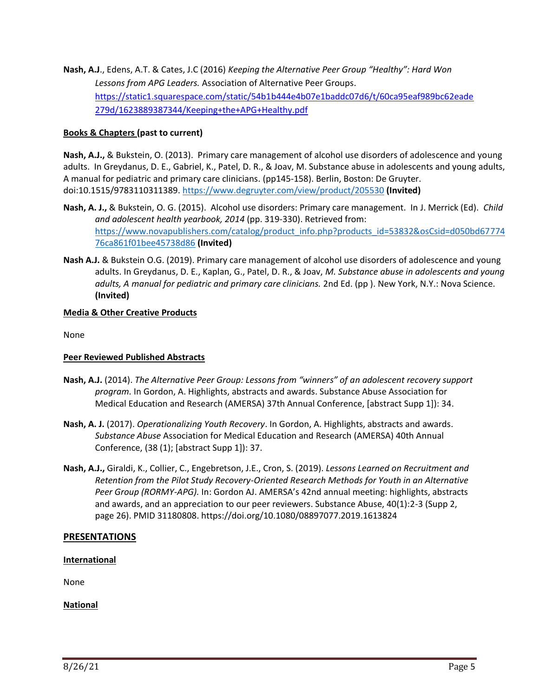**Nash, A.J**., Edens, A.T. & Cates, J.C (2016) *Keeping the Alternative Peer Group "Healthy": Hard Won Lessons from APG Leaders.* Association of Alternative Peer Groups. [https://static1.squarespace.com/static/54b1b444e4b07e1baddc07d6/t/60ca95eaf989bc62eade](https://static1.squarespace.com/static/54b1b444e4b07e1baddc07d6/t/60ca95eaf989bc62eade279d/1623889387344/Keeping+the+APG+Healthy.pdf) [279d/1623889387344/Keeping+the+APG+Healthy.pdf](https://static1.squarespace.com/static/54b1b444e4b07e1baddc07d6/t/60ca95eaf989bc62eade279d/1623889387344/Keeping+the+APG+Healthy.pdf)

## **Books & Chapters (past to current)**

**Nash, A.J.,** & Bukstein, O. (2013). Primary care management of alcohol use disorders of adolescence and young adults. In Greydanus, D. E., Gabriel, K., Patel, D. R., & Joav, M. Substance abuse in adolescents and young adults, A manual for pediatric and primary care clinicians. (pp145-158). Berlin, Boston: De Gruyter. doi:10.1515/9783110311389.<https://www.degruyter.com/view/product/205530> **(Invited)**

- **Nash, A. J.,** & Bukstein, O. G. (2015). Alcohol use disorders: Primary care management. In J. Merrick (Ed). *Child and adolescent health yearbook, 2014* (pp. 319-330). Retrieved from: [https://www.novapublishers.com/catalog/product\\_info.php?products\\_id=53832&osCsid=d050bd67774](https://www.novapublishers.com/catalog/product_info.php?products_id=53832&osCsid=d050bd6777476ca861f01bee45738d86) [76ca861f01bee45738d86](https://www.novapublishers.com/catalog/product_info.php?products_id=53832&osCsid=d050bd6777476ca861f01bee45738d86) **(Invited)**
- **Nash A.J.** & Bukstein O.G. (2019). Primary care management of alcohol use disorders of adolescence and young adults. In Greydanus, D. E., Kaplan, G., Patel, D. R., & Joav, *M. Substance abuse in adolescents and young adults, A manual for pediatric and primary care clinicians.* 2nd Ed. (pp ). New York, N.Y.: Nova Science. **(Invited)**

## **Media & Other Creative Products**

None

#### **Peer Reviewed Published Abstracts**

- **Nash, A.J.** (2014). *The Alternative Peer Group: Lessons from "winners" of an adolescent recovery support program.* In Gordon, A. Highlights, abstracts and awards. Substance Abuse Association for Medical Education and Research (AMERSA) 37th Annual Conference, [abstract Supp 1]): 34.
- **Nash, A. J.** (2017). *Operationalizing Youth Recovery*. In Gordon, A. Highlights, abstracts and awards. *Substance Abuse* Association for Medical Education and Research (AMERSA) 40th Annual Conference, (38 (1); [abstract Supp 1]): 37.
- **Nash, A.J.,** Giraldi, K., Collier, C., Engebretson, J.E., Cron, S. (2019). *Lessons Learned on Recruitment and Retention from the Pilot Study Recovery-Oriented Research Methods for Youth in an Alternative Peer Group (RORMY-APG).* In: Gordon AJ. AMERSA's 42nd annual meeting: highlights, abstracts and awards, and an appreciation to our peer reviewers. Substance Abuse, 40(1):2-3 (Supp 2, page 26). PMID 31180808. https://doi.org/10.1080/08897077.2019.1613824

#### **PRESENTATIONS**

#### **International**

None

**National**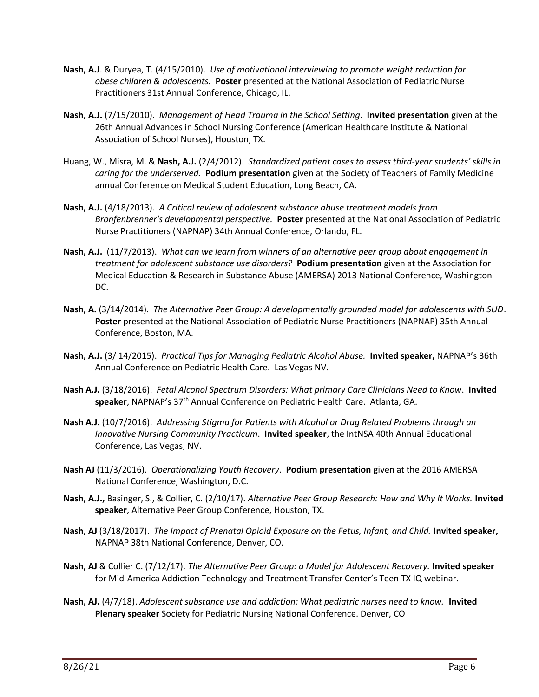- **Nash, A.J**. & Duryea, T. (4/15/2010). *Use of motivational interviewing to promote weight reduction for obese children & adolescents.* **Poster** presented at the National Association of Pediatric Nurse Practitioners 31st Annual Conference, Chicago, IL.
- **Nash, A.J.** (7/15/2010). *Management of Head Trauma in the School Setting*. **Invited presentation** given at the 26th Annual Advances in School Nursing Conference (American Healthcare Institute & National Association of School Nurses), Houston, TX.
- Huang, W., Misra, M. & **Nash, A.J.** (2/4/2012). *Standardized patient cases to assess third-year students' skills in caring for the underserved.* **Podium presentation** given at the Society of Teachers of Family Medicine annual Conference on Medical Student Education, Long Beach, CA.
- **Nash, A.J.** (4/18/2013). *A Critical review of adolescent substance abuse treatment models from Bronfenbrenner's developmental perspective.* **Poster** presented at the National Association of Pediatric Nurse Practitioners (NAPNAP) 34th Annual Conference, Orlando, FL.
- **Nash, A.J.** (11/7/2013). *What can we learn from winners of an alternative peer group about engagement in treatment for adolescent substance use disorders?* **Podium presentation** given at the Association for Medical Education & Research in Substance Abuse (AMERSA) 2013 National Conference, Washington DC.
- **Nash, A.** (3/14/2014). *The Alternative Peer Group: A developmentally grounded model for adolescents with SUD*. **Poster** presented at the National Association of Pediatric Nurse Practitioners (NAPNAP) 35th Annual Conference, Boston, MA.
- **Nash, A.J.** (3/ 14/2015). *Practical Tips for Managing Pediatric Alcohol Abuse.* **Invited speaker,** NAPNAP's 36th Annual Conference on Pediatric Health Care. Las Vegas NV.
- **Nash A.J.** (3/18/2016). *Fetal Alcohol Spectrum Disorders: What primary Care Clinicians Need to Know*. **Invited speaker**, NAPNAP's 37th Annual Conference on Pediatric Health Care. Atlanta, GA.
- **Nash A.J.** (10/7/2016). *Addressing Stigma for Patients with Alcohol or Drug Related Problems through an Innovative Nursing Community Practicum*. **Invited speaker**, the IntNSA 40th Annual Educational Conference, Las Vegas, NV.
- **Nash AJ** (11/3/2016). *Operationalizing Youth Recovery*. **Podium presentation** given at the 2016 AMERSA National Conference, Washington, D.C.
- **Nash, A.J.,** Basinger, S., & Collier, C. (2/10/17). *Alternative Peer Group Research: How and Why It Works.* **Invited speaker**, Alternative Peer Group Conference, Houston, TX.
- **Nash, AJ** (3/18/2017). *The Impact of Prenatal Opioid Exposure on the Fetus, Infant, and Child.* **Invited speaker,** NAPNAP 38th National Conference, Denver, CO.
- **Nash, AJ** & Collier C. (7/12/17). *The Alternative Peer Group: a Model for Adolescent Recovery.* **Invited speaker** for Mid-America Addiction Technology and Treatment Transfer Center's Teen TX IQ webinar.
- **Nash, AJ.** (4/7/18). *Adolescent substance use and addiction: What pediatric nurses need to know.* **Invited Plenary speaker** Society for Pediatric Nursing National Conference. Denver, CO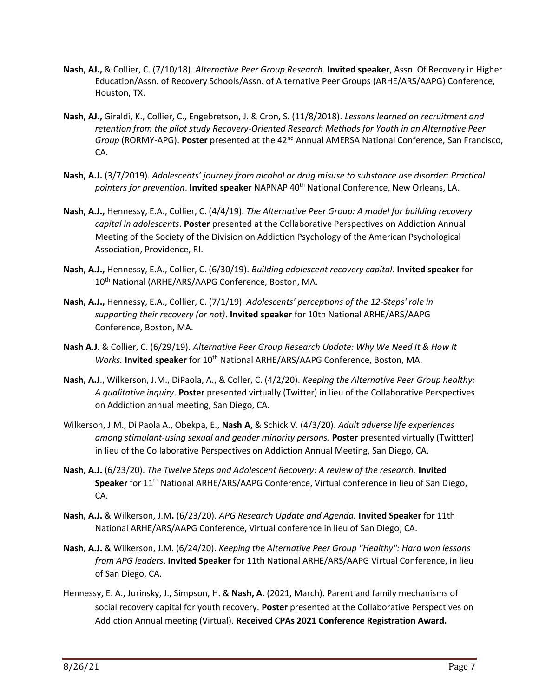- **Nash, AJ.,** & Collier, C. (7/10/18). *Alternative Peer Group Research*. **Invited speaker**, Assn. Of Recovery in Higher Education/Assn. of Recovery Schools/Assn. of Alternative Peer Groups (ARHE/ARS/AAPG) Conference, Houston, TX.
- **Nash, AJ.,** Giraldi, K., Collier, C., Engebretson, J. & Cron, S. (11/8/2018). *Lessons learned on recruitment and retention from the pilot study Recovery-Oriented Research Methods for Youth in an Alternative Peer Group* (RORMY-APG). **Poster** presented at the 42nd Annual AMERSA National Conference, San Francisco, CA.
- **Nash, A.J.** (3/7/2019). *Adolescents' journey from alcohol or drug misuse to substance use disorder: Practical*  pointers for prevention. **Invited speaker** NAPNAP 40<sup>th</sup> National Conference, New Orleans, LA.
- **Nash, A.J.,** Hennessy, E.A., Collier, C. (4/4/19). *The Alternative Peer Group: A model for building recovery capital in adolescents*. **Poster** presented at the Collaborative Perspectives on Addiction Annual Meeting of the Society of the Division on Addiction Psychology of the American Psychological Association, Providence, RI.
- **Nash, A.J.,** Hennessy, E.A., Collier, C. (6/30/19). *Building adolescent recovery capital*. **Invited speaker** for 10<sup>th</sup> National (ARHE/ARS/AAPG Conference, Boston, MA.
- **Nash, A.J.,** Hennessy, E.A., Collier, C. (7/1/19). *Adolescents' perceptions of the 12-Steps' role in supporting their recovery (or not)*. **Invited speaker** for 10th National ARHE/ARS/AAPG Conference, Boston, MA.
- **Nash A.J.** & Collier, C. (6/29/19). *Alternative Peer Group Research Update: Why We Need It & How It Works.* **Invited speaker** for 10<sup>th</sup> National ARHE/ARS/AAPG Conference, Boston, MA.
- **Nash, A.**J., Wilkerson, J.M., DiPaola, A., & Coller, C. (4/2/20). *Keeping the Alternative Peer Group healthy: A qualitative inquiry*. **Poster** presented virtually (Twitter) in lieu of the Collaborative Perspectives on Addiction annual meeting, San Diego, CA.
- Wilkerson, J.M., Di Paola A., Obekpa, E., **Nash A,** & Schick V. (4/3/20). *Adult adverse life experiences*  among stimulant-using sexual and gender minority persons. Poster presented virtually (Twittter) in lieu of the Collaborative Perspectives on Addiction Annual Meeting, San Diego, CA.
- **Nash, A.J.** (6/23/20). *The Twelve Steps and Adolescent Recovery: A review of the research.* **Invited Speaker** for 11th National ARHE/ARS/AAPG Conference, Virtual conference in lieu of San Diego, CA.
- **Nash, A.J.** & Wilkerson, J.M**.** (6/23/20). *APG Research Update and Agenda.* **Invited Speaker** for 11th National ARHE/ARS/AAPG Conference, Virtual conference in lieu of San Diego, CA.
- **Nash, A.J.** & Wilkerson, J.M. (6/24/20). *Keeping the Alternative Peer Group "Healthy": Hard won lessons from APG leaders*. **Invited Speaker** for 11th National ARHE/ARS/AAPG Virtual Conference, in lieu of San Diego, CA.
- Hennessy, E. A., Jurinsky, J., Simpson, H. & **Nash, A.** (2021, March). Parent and family mechanisms of social recovery capital for youth recovery. **Poster** presented at the Collaborative Perspectives on Addiction Annual meeting (Virtual). **Received CPAs 2021 Conference Registration Award.**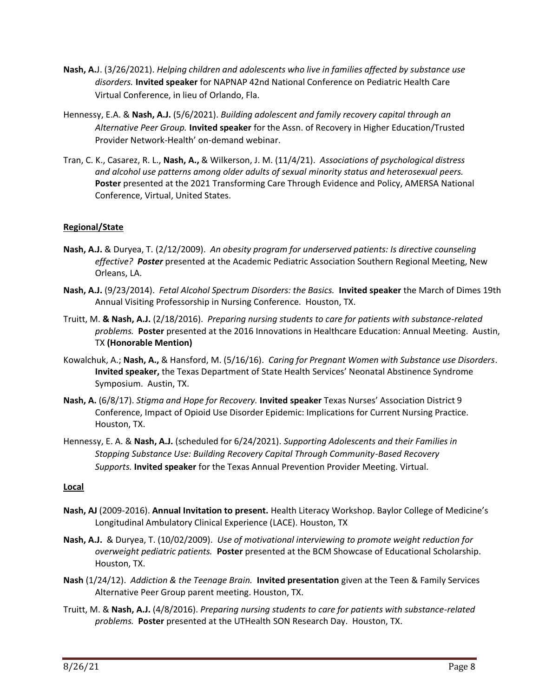- **Nash, A.**J. (3/26/2021). *Helping children and adolescents who live in families affected by substance use disorders.* **Invited speaker** for NAPNAP 42nd National Conference on Pediatric Health Care Virtual Conference, in lieu of Orlando, Fla.
- Hennessy, E.A. & **Nash, A.J.** (5/6/2021). *Building adolescent and family recovery capital through an Alternative Peer Group.* **Invited speaker** for the Assn. of Recovery in Higher Education/Trusted Provider Network-Health' on-demand webinar.
- Tran, C. K., Casarez, R. L., **Nash, A.,** & Wilkerson, J. M. (11/4/21). *Associations of psychological distress and alcohol use patterns among older adults of sexual minority status and heterosexual peers.*  **Poster** presented at the 2021 Transforming Care Through Evidence and Policy, AMERSA National Conference, Virtual, United States.

## **Regional/State**

- **Nash, A.J.** & Duryea, T. (2/12/2009). *An obesity program for underserved patients: Is directive counseling effective? Poster* presented at the Academic Pediatric Association Southern Regional Meeting, New Orleans, LA.
- **Nash, A.J.** (9/23/2014). *Fetal Alcohol Spectrum Disorders: the Basics.* **Invited speaker** the March of Dimes 19th Annual Visiting Professorship in Nursing Conference. Houston, TX.
- Truitt, M. **& Nash, A.J.** (2/18/2016). *Preparing nursing students to care for patients with substance-related problems.* **Poster** presented at the 2016 Innovations in Healthcare Education: Annual Meeting. Austin, TX **(Honorable Mention)**
- Kowalchuk, A.; **Nash, A.,** & Hansford, M. (5/16/16). *Caring for Pregnant Women with Substance use Disorders*. **Invited speaker,** the Texas Department of State Health Services' Neonatal Abstinence Syndrome Symposium. Austin, TX.
- **Nash, A.** (6/8/17). *Stigma and Hope for Recovery.* **Invited speaker** Texas Nurses' Association District 9 Conference, Impact of Opioid Use Disorder Epidemic: Implications for Current Nursing Practice. Houston, TX.
- Hennessy, E. A. & **Nash, A.J.** (scheduled for 6/24/2021). *Supporting Adolescents and their Families in Stopping Substance Use: Building Recovery Capital Through Community-Based Recovery Supports.* **Invited speaker** for the Texas Annual Prevention Provider Meeting. Virtual.

#### **Local**

- **Nash, AJ** (2009-2016). **Annual Invitation to present.** Health Literacy Workshop. Baylor College of Medicine's Longitudinal Ambulatory Clinical Experience (LACE). Houston, TX
- **Nash, A.J.** & Duryea, T. (10/02/2009). *Use of motivational interviewing to promote weight reduction for overweight pediatric patients.* **Poster** presented at the BCM Showcase of Educational Scholarship. Houston, TX.
- **Nash** (1/24/12). *Addiction & the Teenage Brain.* **Invited presentation** given at the Teen & Family Services Alternative Peer Group parent meeting. Houston, TX.
- Truitt, M. & **Nash, A.J.** (4/8/2016). *Preparing nursing students to care for patients with substance-related problems.* **Poster** presented at the UTHealth SON Research Day. Houston, TX.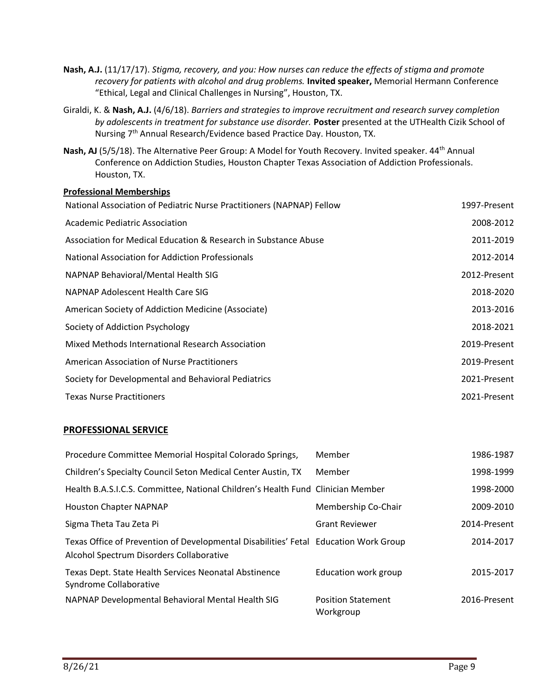- **Nash, A.J.** (11/17/17). *Stigma, recovery, and you: How nurses can reduce the effects of stigma and promote recovery for patients with alcohol and drug problems.* **Invited speaker,** Memorial Hermann Conference "Ethical, Legal and Clinical Challenges in Nursing", Houston, TX.
- Giraldi, K. & **Nash, A.J.** (4/6/18). *Barriers and strategies to improve recruitment and research survey completion by adolescents in treatment for substance use disorder.* **Poster** presented at the UTHealth Cizik School of Nursing 7th Annual Research/Evidence based Practice Day. Houston, TX.
- Nash, AJ (5/5/18). The Alternative Peer Group: A Model for Youth Recovery. Invited speaker. 44<sup>th</sup> Annual Conference on Addiction Studies, Houston Chapter Texas Association of Addiction Professionals. Houston, TX.

## **Professional Memberships**

| National Association of Pediatric Nurse Practitioners (NAPNAP) Fellow | 1997-Present |
|-----------------------------------------------------------------------|--------------|
| Academic Pediatric Association                                        | 2008-2012    |
| Association for Medical Education & Research in Substance Abuse       | 2011-2019    |
| National Association for Addiction Professionals                      | 2012-2014    |
| NAPNAP Behavioral/Mental Health SIG                                   | 2012-Present |
| NAPNAP Adolescent Health Care SIG                                     | 2018-2020    |
| American Society of Addiction Medicine (Associate)                    | 2013-2016    |
| Society of Addiction Psychology                                       | 2018-2021    |
| Mixed Methods International Research Association                      | 2019-Present |
| American Association of Nurse Practitioners                           | 2019-Present |
| Society for Developmental and Behavioral Pediatrics                   | 2021-Present |
| <b>Texas Nurse Practitioners</b>                                      | 2021-Present |

#### **PROFESSIONAL SERVICE**

| Procedure Committee Memorial Hospital Colorado Springs,                                                                          | Member                                 | 1986-1987    |
|----------------------------------------------------------------------------------------------------------------------------------|----------------------------------------|--------------|
| Children's Specialty Council Seton Medical Center Austin, TX                                                                     | Member                                 | 1998-1999    |
| Health B.A.S.I.C.S. Committee, National Children's Health Fund Clinician Member                                                  |                                        | 1998-2000    |
| <b>Houston Chapter NAPNAP</b>                                                                                                    | Membership Co-Chair                    | 2009-2010    |
| Sigma Theta Tau Zeta Pi                                                                                                          | <b>Grant Reviewer</b>                  | 2014-Present |
| Texas Office of Prevention of Developmental Disabilities' Fetal Education Work Group<br>Alcohol Spectrum Disorders Collaborative |                                        | 2014-2017    |
| Texas Dept. State Health Services Neonatal Abstinence<br>Syndrome Collaborative                                                  | Education work group                   | 2015-2017    |
| NAPNAP Developmental Behavioral Mental Health SIG                                                                                | <b>Position Statement</b><br>Workgroup | 2016-Present |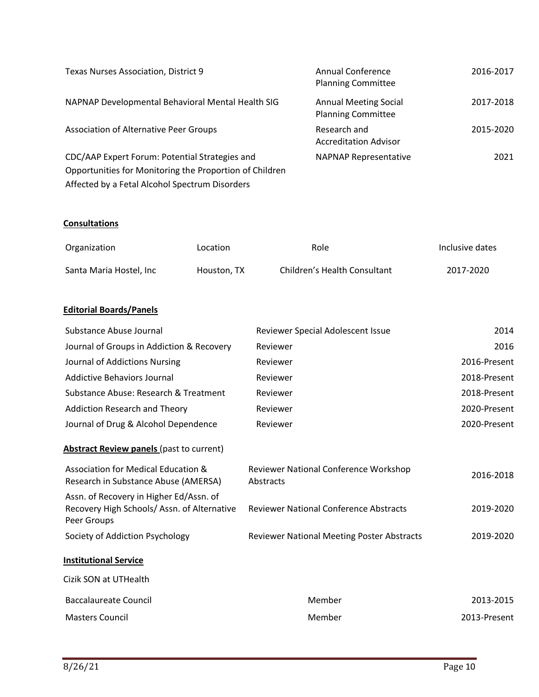| Texas Nurses Association, District 9                                                                      | Annual Conference<br><b>Planning Committee</b>            | 2016-2017 |
|-----------------------------------------------------------------------------------------------------------|-----------------------------------------------------------|-----------|
| NAPNAP Developmental Behavioral Mental Health SIG                                                         | <b>Annual Meeting Social</b><br><b>Planning Committee</b> | 2017-2018 |
| <b>Association of Alternative Peer Groups</b>                                                             | Research and<br><b>Accreditation Advisor</b>              | 2015-2020 |
| CDC/AAP Expert Forum: Potential Strategies and<br>Opportunities for Monitoring the Proportion of Children | <b>NAPNAP Representative</b>                              | 2021      |

# **Consultations**

| Organization            | Location    | Role                         | Inclusive dates |
|-------------------------|-------------|------------------------------|-----------------|
| Santa Maria Hostel, Inc | Houston, TX | Children's Health Consultant | 2017-2020       |

## **Editorial Boards/Panels**

Affected by a Fetal Alcohol Spectrum Disorders

| Substance Abuse Journal                                                                              | Reviewer Special Adolescent Issue                  | 2014         |
|------------------------------------------------------------------------------------------------------|----------------------------------------------------|--------------|
| Journal of Groups in Addiction & Recovery                                                            | Reviewer                                           | 2016         |
| Journal of Addictions Nursing                                                                        | Reviewer                                           | 2016-Present |
| <b>Addictive Behaviors Journal</b>                                                                   | Reviewer                                           | 2018-Present |
| Substance Abuse: Research & Treatment                                                                | Reviewer                                           | 2018-Present |
| Addiction Research and Theory                                                                        | Reviewer                                           | 2020-Present |
| Journal of Drug & Alcohol Dependence                                                                 | Reviewer                                           | 2020-Present |
| <b>Abstract Review panels (past to current)</b>                                                      |                                                    |              |
| Association for Medical Education &<br>Research in Substance Abuse (AMERSA)                          | Reviewer National Conference Workshop<br>Abstracts | 2016-2018    |
| Assn. of Recovery in Higher Ed/Assn. of<br>Recovery High Schools/Assn. of Alternative<br>Peer Groups | <b>Reviewer National Conference Abstracts</b>      | 2019-2020    |
| Society of Addiction Psychology                                                                      | Reviewer National Meeting Poster Abstracts         | 2019-2020    |
| <b>Institutional Service</b>                                                                         |                                                    |              |
| Cizik SON at UTHealth                                                                                |                                                    |              |
| <b>Baccalaureate Council</b>                                                                         | Member                                             | 2013-2015    |
| <b>Masters Council</b>                                                                               | Member                                             | 2013-Present |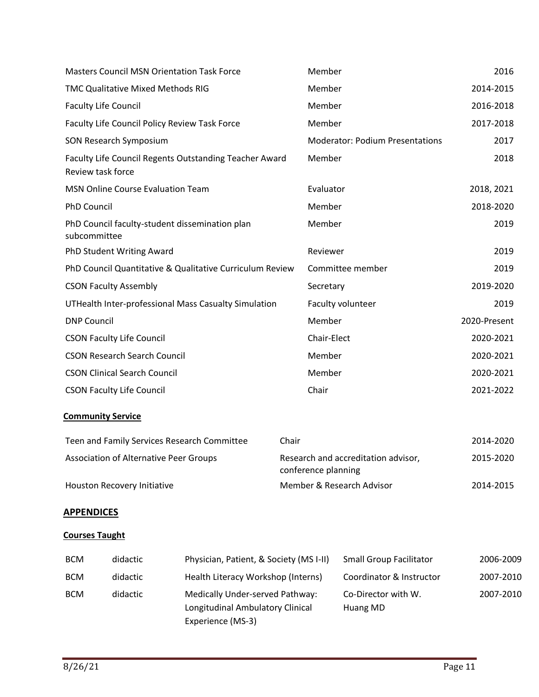| <b>Masters Council MSN Orientation Task Force</b>                           | Member                                                     | 2016         |
|-----------------------------------------------------------------------------|------------------------------------------------------------|--------------|
| <b>TMC Qualitative Mixed Methods RIG</b>                                    | Member                                                     | 2014-2015    |
| <b>Faculty Life Council</b>                                                 | Member                                                     | 2016-2018    |
| Faculty Life Council Policy Review Task Force                               | Member                                                     | 2017-2018    |
| <b>SON Research Symposium</b>                                               | <b>Moderator: Podium Presentations</b>                     | 2017         |
| Faculty Life Council Regents Outstanding Teacher Award<br>Review task force | Member                                                     | 2018         |
| MSN Online Course Evaluation Team                                           | Evaluator                                                  | 2018, 2021   |
| <b>PhD Council</b>                                                          | Member                                                     | 2018-2020    |
| PhD Council faculty-student dissemination plan<br>subcommittee              | Member                                                     | 2019         |
| PhD Student Writing Award                                                   | Reviewer                                                   | 2019         |
| PhD Council Quantitative & Qualitative Curriculum Review                    | Committee member                                           | 2019         |
| <b>CSON Faculty Assembly</b>                                                | Secretary                                                  | 2019-2020    |
| UTHealth Inter-professional Mass Casualty Simulation                        | Faculty volunteer                                          | 2019         |
| <b>DNP Council</b>                                                          | Member                                                     | 2020-Present |
| <b>CSON Faculty Life Council</b>                                            | Chair-Elect                                                | 2020-2021    |
| <b>CSON Research Search Council</b>                                         | Member                                                     | 2020-2021    |
| <b>CSON Clinical Search Council</b>                                         | Member                                                     | 2020-2021    |
| <b>CSON Faculty Life Council</b>                                            | Chair                                                      | 2021-2022    |
| <b>Community Service</b>                                                    |                                                            |              |
| Teen and Family Services Research Committee                                 | Chair                                                      | 2014-2020    |
| Association of Alternative Peer Groups                                      | Research and accreditation advisor,<br>conference planning | 2015-2020    |
| Houston Recovery Initiative                                                 | Member & Research Advisor                                  | 2014-2015    |
| <u>APPENDICES</u>                                                           |                                                            |              |
| <b>Courses Taught</b>                                                       |                                                            |              |

| <b>BCM</b> | didactic | Physician, Patient, & Society (MS I-II)                                                  | <b>Small Group Facilitator</b>  | 2006-2009 |
|------------|----------|------------------------------------------------------------------------------------------|---------------------------------|-----------|
| <b>BCM</b> | didactic | Health Literacy Workshop (Interns)                                                       | Coordinator & Instructor        | 2007-2010 |
| <b>BCM</b> | didactic | Medically Under-served Pathway:<br>Longitudinal Ambulatory Clinical<br>Experience (MS-3) | Co-Director with W.<br>Huang MD | 2007-2010 |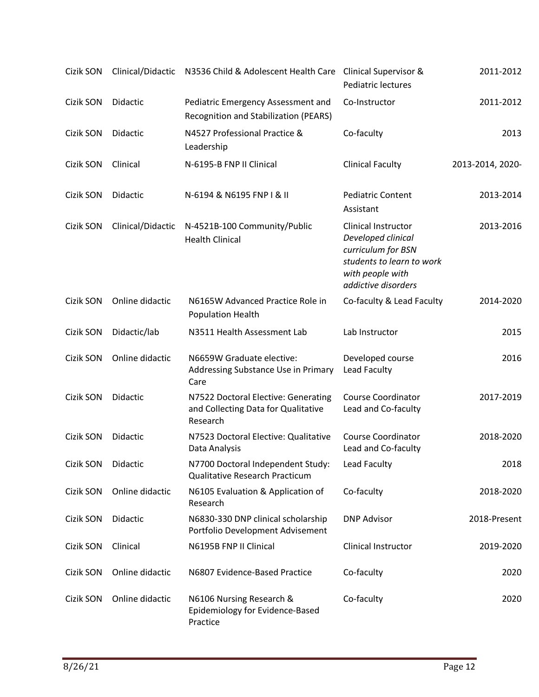| Cizik SON | Clinical/Didactic | N3536 Child & Adolescent Health Care                                                   | <b>Clinical Supervisor &amp;</b><br>Pediatric lectures                                                                                  | 2011-2012        |
|-----------|-------------------|----------------------------------------------------------------------------------------|-----------------------------------------------------------------------------------------------------------------------------------------|------------------|
| Cizik SON | Didactic          | Pediatric Emergency Assessment and<br><b>Recognition and Stabilization (PEARS)</b>     | Co-Instructor                                                                                                                           | 2011-2012        |
| Cizik SON | Didactic          | N4527 Professional Practice &<br>Leadership                                            | Co-faculty                                                                                                                              | 2013             |
| Cizik SON | Clinical          | N-6195-B FNP II Clinical                                                               | <b>Clinical Faculty</b>                                                                                                                 | 2013-2014, 2020- |
| Cizik SON | Didactic          | N-6194 & N6195 FNP I & II                                                              | <b>Pediatric Content</b><br>Assistant                                                                                                   | 2013-2014        |
| Cizik SON | Clinical/Didactic | N-4521B-100 Community/Public<br><b>Health Clinical</b>                                 | Clinical Instructor<br>Developed clinical<br>curriculum for BSN<br>students to learn to work<br>with people with<br>addictive disorders | 2013-2016        |
| Cizik SON | Online didactic   | N6165W Advanced Practice Role in<br><b>Population Health</b>                           | Co-faculty & Lead Faculty                                                                                                               | 2014-2020        |
| Cizik SON | Didactic/lab      | N3511 Health Assessment Lab                                                            | Lab Instructor                                                                                                                          | 2015             |
| Cizik SON | Online didactic   | N6659W Graduate elective:<br>Addressing Substance Use in Primary<br>Care               | Developed course<br>Lead Faculty                                                                                                        | 2016             |
| Cizik SON | Didactic          | N7522 Doctoral Elective: Generating<br>and Collecting Data for Qualitative<br>Research | <b>Course Coordinator</b><br>Lead and Co-faculty                                                                                        | 2017-2019        |
| Cizik SON | Didactic          | N7523 Doctoral Elective: Qualitative<br>Data Analysis                                  | <b>Course Coordinator</b><br>Lead and Co-faculty                                                                                        | 2018-2020        |
| Cizik SON | Didactic          | N7700 Doctoral Independent Study:<br>Qualitative Research Practicum                    | Lead Faculty                                                                                                                            | 2018             |
| Cizik SON | Online didactic   | N6105 Evaluation & Application of<br>Research                                          | Co-faculty                                                                                                                              | 2018-2020        |
| Cizik SON | Didactic          | N6830-330 DNP clinical scholarship<br>Portfolio Development Advisement                 | <b>DNP Advisor</b>                                                                                                                      | 2018-Present     |
| Cizik SON | Clinical          | N6195B FNP II Clinical                                                                 | Clinical Instructor                                                                                                                     | 2019-2020        |
| Cizik SON | Online didactic   | N6807 Evidence-Based Practice                                                          | Co-faculty                                                                                                                              | 2020             |
| Cizik SON | Online didactic   | N6106 Nursing Research &<br>Epidemiology for Evidence-Based<br>Practice                | Co-faculty                                                                                                                              | 2020             |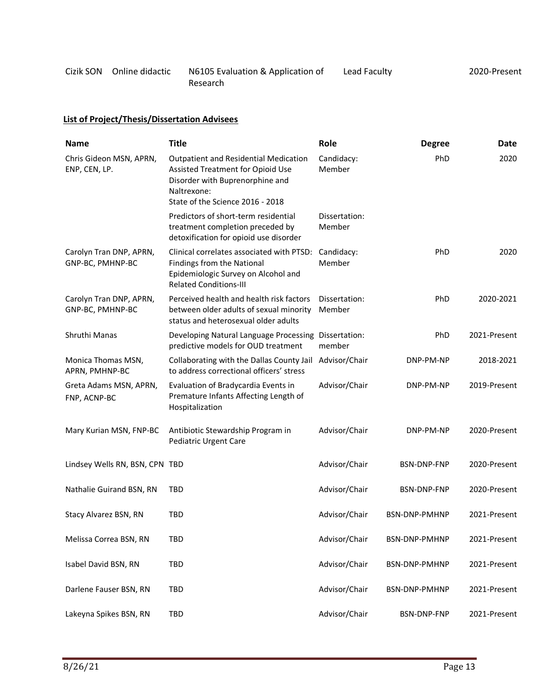| Cizik SON Online didactic | N6105 Evaluation & Application of | Lead Faculty | 2020-Present |
|---------------------------|-----------------------------------|--------------|--------------|
|                           | Research                          |              |              |

# **List of Project/Thesis/Dissertation Advisees**

| <b>Name</b>                                 | <b>Title</b>                                                                                                                                                     | Role                    | <b>Degree</b>      | Date         |
|---------------------------------------------|------------------------------------------------------------------------------------------------------------------------------------------------------------------|-------------------------|--------------------|--------------|
| Chris Gideon MSN, APRN,<br>ENP, CEN, LP.    | Outpatient and Residential Medication<br>Assisted Treatment for Opioid Use<br>Disorder with Buprenorphine and<br>Naltrexone:<br>State of the Science 2016 - 2018 | Candidacy:<br>Member    | PhD                | 2020         |
|                                             | Predictors of short-term residential<br>treatment completion preceded by<br>detoxification for opioid use disorder                                               | Dissertation:<br>Member |                    |              |
| Carolyn Tran DNP, APRN,<br>GNP-BC, PMHNP-BC | Clinical correlates associated with PTSD:<br>Findings from the National<br>Epidemiologic Survey on Alcohol and<br><b>Related Conditions-III</b>                  | Candidacy:<br>Member    | PhD                | 2020         |
| Carolyn Tran DNP, APRN,<br>GNP-BC, PMHNP-BC | Perceived health and health risk factors<br>between older adults of sexual minority<br>status and heterosexual older adults                                      | Dissertation:<br>Member | PhD                | 2020-2021    |
| Shruthi Manas                               | Developing Natural Language Processing Dissertation:<br>predictive models for OUD treatment                                                                      | member                  | PhD                | 2021-Present |
| Monica Thomas MSN,<br>APRN, PMHNP-BC        | Collaborating with the Dallas County Jail<br>to address correctional officers' stress                                                                            | Advisor/Chair           | DNP-PM-NP          | 2018-2021    |
| Greta Adams MSN, APRN,<br>FNP, ACNP-BC      | Evaluation of Bradycardia Events in<br>Premature Infants Affecting Length of<br>Hospitalization                                                                  | Advisor/Chair           | DNP-PM-NP          | 2019-Present |
| Mary Kurian MSN, FNP-BC                     | Antibiotic Stewardship Program in<br>Pediatric Urgent Care                                                                                                       | Advisor/Chair           | DNP-PM-NP          | 2020-Present |
| Lindsey Wells RN, BSN, CPN TBD              |                                                                                                                                                                  | Advisor/Chair           | <b>BSN-DNP-FNP</b> | 2020-Present |
| Nathalie Guirand BSN, RN                    | <b>TBD</b>                                                                                                                                                       | Advisor/Chair           | <b>BSN-DNP-FNP</b> | 2020-Present |
| Stacy Alvarez BSN, RN                       | TBD                                                                                                                                                              | Advisor/Chair           | BSN-DNP-PMHNP      | 2021-Present |
| Melissa Correa BSN, RN                      | TBD                                                                                                                                                              | Advisor/Chair           | BSN-DNP-PMHNP      | 2021-Present |
| Isabel David BSN, RN                        | TBD                                                                                                                                                              | Advisor/Chair           | BSN-DNP-PMHNP      | 2021-Present |
| Darlene Fauser BSN, RN                      | TBD                                                                                                                                                              | Advisor/Chair           | BSN-DNP-PMHNP      | 2021-Present |
| Lakeyna Spikes BSN, RN                      | TBD                                                                                                                                                              | Advisor/Chair           | BSN-DNP-FNP        | 2021-Present |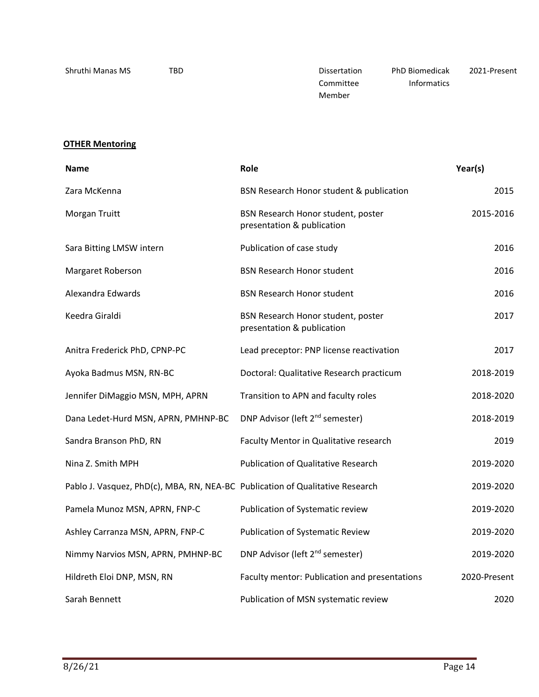| Shruthi Manas MS | TBD | Dissertation | <b>PhD Biomedicak</b> | 2021-Present |
|------------------|-----|--------------|-----------------------|--------------|
|                  |     | Committee    | <b>Informatics</b>    |              |
|                  |     | Member       |                       |              |

# **OTHER Mentoring**

| Name                                                                          | Role                                                             | Year(s)      |
|-------------------------------------------------------------------------------|------------------------------------------------------------------|--------------|
| Zara McKenna                                                                  | BSN Research Honor student & publication                         | 2015         |
| Morgan Truitt                                                                 | BSN Research Honor student, poster<br>presentation & publication | 2015-2016    |
| Sara Bitting LMSW intern                                                      | Publication of case study                                        | 2016         |
| Margaret Roberson                                                             | <b>BSN Research Honor student</b>                                | 2016         |
| Alexandra Edwards                                                             | <b>BSN Research Honor student</b>                                | 2016         |
| Keedra Giraldi                                                                | BSN Research Honor student, poster<br>presentation & publication | 2017         |
| Anitra Frederick PhD, CPNP-PC                                                 | Lead preceptor: PNP license reactivation                         | 2017         |
| Ayoka Badmus MSN, RN-BC                                                       | Doctoral: Qualitative Research practicum                         | 2018-2019    |
| Jennifer DiMaggio MSN, MPH, APRN                                              | Transition to APN and faculty roles                              | 2018-2020    |
| Dana Ledet-Hurd MSN, APRN, PMHNP-BC                                           | DNP Advisor (left 2 <sup>nd</sup> semester)                      | 2018-2019    |
| Sandra Branson PhD, RN                                                        | Faculty Mentor in Qualitative research                           | 2019         |
| Nina Z. Smith MPH                                                             | <b>Publication of Qualitative Research</b>                       | 2019-2020    |
| Pablo J. Vasquez, PhD(c), MBA, RN, NEA-BC Publication of Qualitative Research |                                                                  | 2019-2020    |
| Pamela Munoz MSN, APRN, FNP-C                                                 | Publication of Systematic review                                 | 2019-2020    |
| Ashley Carranza MSN, APRN, FNP-C                                              | <b>Publication of Systematic Review</b>                          | 2019-2020    |
| Nimmy Narvios MSN, APRN, PMHNP-BC                                             | DNP Advisor (left 2 <sup>nd</sup> semester)                      | 2019-2020    |
| Hildreth Eloi DNP, MSN, RN                                                    | Faculty mentor: Publication and presentations                    | 2020-Present |
| Sarah Bennett                                                                 | Publication of MSN systematic review                             | 2020         |